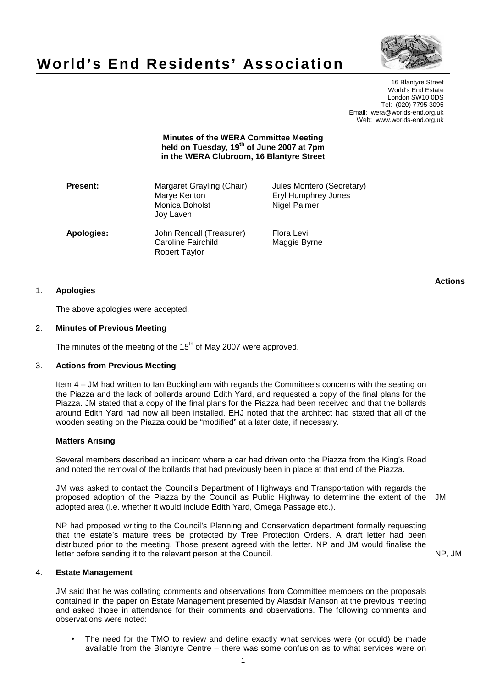

# **World's End Residents' Association**

16 Blantyre Street World's End Estate London SW10 0DS Tel: (020) 7795 3095 Email: wera@worlds-end.org.uk Web: www.worlds-end.org.uk

**Minutes of the WERA Committee Meeting held on Tuesday, 19th of June 2007 at 7pm in the WERA Clubroom, 16 Blantyre Street** 

| <b>Present:</b> | Margaret Grayling (Chair)<br>Marye Kenton<br>Monica Boholst<br>Joy Laven | Jules Montero (Secretary)<br>Eryl Humphrey Jones<br>Nigel Palmer |
|-----------------|--------------------------------------------------------------------------|------------------------------------------------------------------|
| Apologies:      | John Rendall (Treasurer)<br>Caroline Fairchild<br>Robert Taylor          | Flora Levi<br>Maggie Byrne                                       |

#### **Lactions のことには、このことにより、このことにより、このことになります。 そのことには、このことにより、このことにより、このことになります。 そのことには、このことにより、このことには、このことにより、このことにより、このことにより、このことにより、このことにより、このことにより、このことにより、このことにより、このことにより、このことにより、このことにより、このことにより、このことにより、このことによっていることになっ** 1. **Apologies**

The above apologies were accepted.

### 2. **Minutes of Previous Meeting**

The minutes of the meeting of the 15<sup>th</sup> of May 2007 were approved.

# 3. **Actions from Previous Meeting**

Item 4 – JM had written to Ian Buckingham with regards the Committee's concerns with the seating on the Piazza and the lack of bollards around Edith Yard, and requested a copy of the final plans for the Piazza. JM stated that a copy of the final plans for the Piazza had been received and that the bollards around Edith Yard had now all been installed. EHJ noted that the architect had stated that all of the wooden seating on the Piazza could be "modified" at a later date, if necessary.

#### **Matters Arising**

Several members described an incident where a car had driven onto the Piazza from the King's Road and noted the removal of the bollards that had previously been in place at that end of the Piazza.

JM was asked to contact the Council's Department of Highways and Transportation with regards the proposed adoption of the Piazza by the Council as Public Highway to determine the extent of the adopted area (i.e. whether it would include Edith Yard, Omega Passage etc.). JM

NP had proposed writing to the Council's Planning and Conservation department formally requesting that the estate's mature trees be protected by Tree Protection Orders. A draft letter had been distributed prior to the meeting. Those present agreed with the letter. NP and JM would finalise the letter before sending it to the relevant person at the Council.

NP, JM

#### 4. **Estate Management**

JM said that he was collating comments and observations from Committee members on the proposals contained in the paper on Estate Management presented by Alasdair Manson at the previous meeting and asked those in attendance for their comments and observations. The following comments and observations were noted:

The need for the TMO to review and define exactly what services were (or could) be made available from the Blantyre Centre – there was some confusion as to what services were on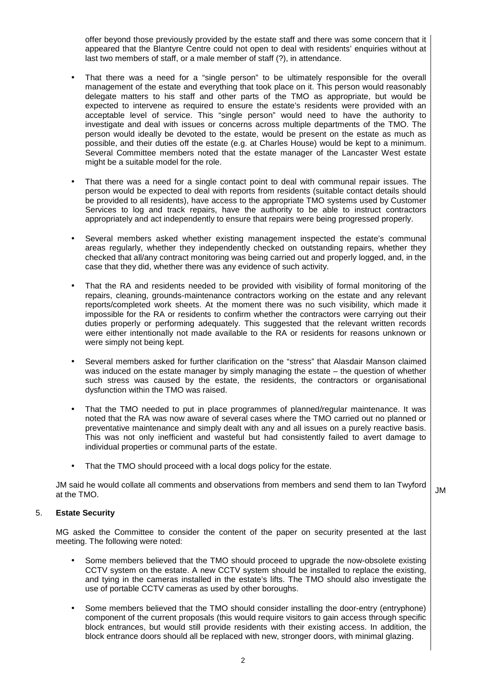offer beyond those previously provided by the estate staff and there was some concern that it appeared that the Blantyre Centre could not open to deal with residents' enquiries without at last two members of staff, or a male member of staff (?), in attendance.

- That there was a need for a "single person" to be ultimately responsible for the overall management of the estate and everything that took place on it. This person would reasonably delegate matters to his staff and other parts of the TMO as appropriate, but would be expected to intervene as required to ensure the estate's residents were provided with an acceptable level of service. This "single person" would need to have the authority to investigate and deal with issues or concerns across multiple departments of the TMO. The person would ideally be devoted to the estate, would be present on the estate as much as possible, and their duties off the estate (e.g. at Charles House) would be kept to a minimum. Several Committee members noted that the estate manager of the Lancaster West estate might be a suitable model for the role.
- That there was a need for a single contact point to deal with communal repair issues. The person would be expected to deal with reports from residents (suitable contact details should be provided to all residents), have access to the appropriate TMO systems used by Customer Services to log and track repairs, have the authority to be able to instruct contractors appropriately and act independently to ensure that repairs were being progressed properly.
- Several members asked whether existing management inspected the estate's communal areas regularly, whether they independently checked on outstanding repairs, whether they checked that all/any contract monitoring was being carried out and properly logged, and, in the case that they did, whether there was any evidence of such activity.
- That the RA and residents needed to be provided with visibility of formal monitoring of the repairs, cleaning, grounds-maintenance contractors working on the estate and any relevant reports/completed work sheets. At the moment there was no such visibility, which made it impossible for the RA or residents to confirm whether the contractors were carrying out their duties properly or performing adequately. This suggested that the relevant written records were either intentionally not made available to the RA or residents for reasons unknown or were simply not being kept.
- Several members asked for further clarification on the "stress" that Alasdair Manson claimed was induced on the estate manager by simply managing the estate – the question of whether such stress was caused by the estate, the residents, the contractors or organisational dysfunction within the TMO was raised.
- That the TMO needed to put in place programmes of planned/regular maintenance. It was noted that the RA was now aware of several cases where the TMO carried out no planned or preventative maintenance and simply dealt with any and all issues on a purely reactive basis. This was not only inefficient and wasteful but had consistently failed to avert damage to individual properties or communal parts of the estate.
- That the TMO should proceed with a local dogs policy for the estate.

JM said he would collate all comments and observations from members and send them to Ian Twyford JM<br>at the TMO.

# 5. **Estate Security**

MG asked the Committee to consider the content of the paper on security presented at the last meeting. The following were noted:

- Some members believed that the TMO should proceed to upgrade the now-obsolete existing CCTV system on the estate. A new CCTV system should be installed to replace the existing, and tying in the cameras installed in the estate's lifts. The TMO should also investigate the use of portable CCTV cameras as used by other boroughs.
- Some members believed that the TMO should consider installing the door-entry (entryphone) component of the current proposals (this would require visitors to gain access through specific block entrances, but would still provide residents with their existing access. In addition, the block entrance doors should all be replaced with new, stronger doors, with minimal glazing.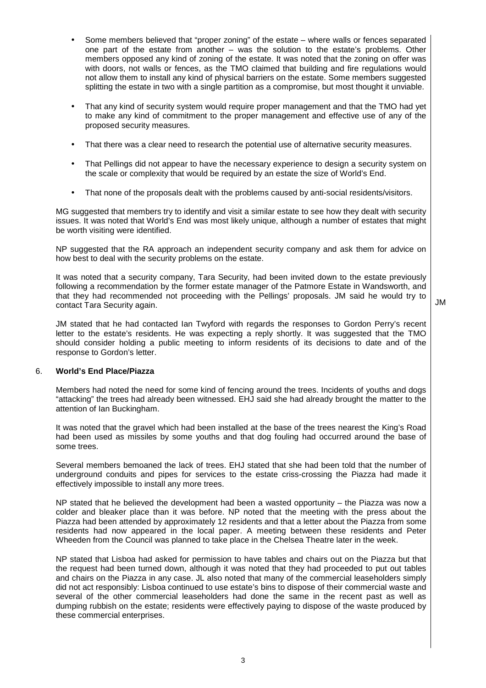- Some members believed that "proper zoning" of the estate where walls or fences separated one part of the estate from another – was the solution to the estate's problems. Other members opposed any kind of zoning of the estate. It was noted that the zoning on offer was with doors, not walls or fences, as the TMO claimed that building and fire regulations would not allow them to install any kind of physical barriers on the estate. Some members suggested splitting the estate in two with a single partition as a compromise, but most thought it unviable.
- That any kind of security system would require proper management and that the TMO had yet to make any kind of commitment to the proper management and effective use of any of the proposed security measures.
- That there was a clear need to research the potential use of alternative security measures.
- That Pellings did not appear to have the necessary experience to design a security system on the scale or complexity that would be required by an estate the size of World's End.
- That none of the proposals dealt with the problems caused by anti-social residents/visitors.

MG suggested that members try to identify and visit a similar estate to see how they dealt with security issues. It was noted that World's End was most likely unique, although a number of estates that might be worth visiting were identified.

NP suggested that the RA approach an independent security company and ask them for advice on how best to deal with the security problems on the estate.

It was noted that a security company, Tara Security, had been invited down to the estate previously following a recommendation by the former estate manager of the Patmore Estate in Wandsworth, and that they had recommended not proceeding with the Pellings' proposals. JM said he would try to contact Tara Security again.

JM

JM stated that he had contacted Ian Twyford with regards the responses to Gordon Perry's recent letter to the estate's residents. He was expecting a reply shortly. It was suggested that the TMO should consider holding a public meeting to inform residents of its decisions to date and of the response to Gordon's letter.

# 6. **World's End Place/Piazza**

Members had noted the need for some kind of fencing around the trees. Incidents of youths and dogs "attacking" the trees had already been witnessed. EHJ said she had already brought the matter to the attention of Ian Buckingham.

It was noted that the gravel which had been installed at the base of the trees nearest the King's Road had been used as missiles by some youths and that dog fouling had occurred around the base of some trees.

Several members bemoaned the lack of trees. EHJ stated that she had been told that the number of underground conduits and pipes for services to the estate criss-crossing the Piazza had made it effectively impossible to install any more trees.

NP stated that he believed the development had been a wasted opportunity  $-$  the Piazza was now a colder and bleaker place than it was before. NP noted that the meeting with the press about the Piazza had been attended by approximately 12 residents and that a letter about the Piazza from some residents had now appeared in the local paper. A meeting between these residents and Peter Wheeden from the Council was planned to take place in the Chelsea Theatre later in the week.

NP stated that Lisboa had asked for permission to have tables and chairs out on the Piazza but that the request had been turned down, although it was noted that they had proceeded to put out tables and chairs on the Piazza in any case. JL also noted that many of the commercial leaseholders simply did not act responsibly: Lisboa continued to use estate's bins to dispose of their commercial waste and several of the other commercial leaseholders had done the same in the recent past as well as dumping rubbish on the estate; residents were effectively paying to dispose of the waste produced by these commercial enterprises.